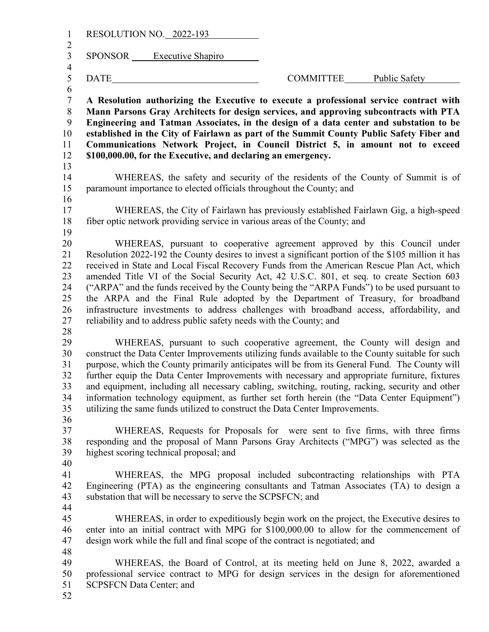| $\mathbf{1}$                                                 | RESOLUTION NO. 2022-193                                                       |                                                                                                                                                                                                                                                                                                                                                                                                                                                                                                                                                                                                                                                             |
|--------------------------------------------------------------|-------------------------------------------------------------------------------|-------------------------------------------------------------------------------------------------------------------------------------------------------------------------------------------------------------------------------------------------------------------------------------------------------------------------------------------------------------------------------------------------------------------------------------------------------------------------------------------------------------------------------------------------------------------------------------------------------------------------------------------------------------|
| $\overline{c}$<br>$\overline{3}$<br>$\overline{\mathcal{A}}$ | SPONSOR Executive Shapiro                                                     |                                                                                                                                                                                                                                                                                                                                                                                                                                                                                                                                                                                                                                                             |
| 5                                                            | DATE                                                                          | COMMITTEE<br>Public Safety                                                                                                                                                                                                                                                                                                                                                                                                                                                                                                                                                                                                                                  |
| 6<br>$\sqrt{ }$<br>$\,8\,$<br>9<br>10<br>11<br>12            | \$100,000.00, for the Executive, and declaring an emergency.                  | A Resolution authorizing the Executive to execute a professional service contract with<br>Mann Parsons Gray Architects for design services, and approving subcontracts with PTA<br>Engineering and Tatman Associates, in the design of a data center and substation to be<br>established in the City of Fairlawn as part of the Summit County Public Safety Fiber and<br>Communications Network Project, in Council District 5, in amount not to exceed                                                                                                                                                                                                     |
| 13                                                           |                                                                               |                                                                                                                                                                                                                                                                                                                                                                                                                                                                                                                                                                                                                                                             |
| 14<br>15<br>16                                               | paramount importance to elected officials throughout the County; and          | WHEREAS, the safety and security of the residents of the County of Summit is of                                                                                                                                                                                                                                                                                                                                                                                                                                                                                                                                                                             |
| 17<br>18<br>19                                               | fiber optic network providing service in various areas of the County; and     | WHEREAS, the City of Fairlawn has previously established Fairlawn Gig, a high-speed                                                                                                                                                                                                                                                                                                                                                                                                                                                                                                                                                                         |
| 20<br>21<br>22<br>23<br>24<br>25<br>26<br>27<br>28           | reliability and to address public safety needs with the County; and           | WHEREAS, pursuant to cooperative agreement approved by this Council under<br>Resolution 2022-192 the County desires to invest a significant portion of the \$105 million it has<br>received in State and Local Fiscal Recovery Funds from the American Rescue Plan Act, which<br>amended Title VI of the Social Security Act, 42 U.S.C. 801, et seq. to create Section 603<br>("ARPA" and the funds received by the County being the "ARPA Funds") to be used pursuant to<br>the ARPA and the Final Rule adopted by the Department of Treasury, for broadband<br>infrastructure investments to address challenges with broadband access, affordability, and |
| 29<br>30<br>31<br>32<br>33<br>34<br>35<br>36                 | utilizing the same funds utilized to construct the Data Center Improvements.  | WHEREAS, pursuant to such cooperative agreement, the County will design and<br>construct the Data Center Improvements utilizing funds available to the County suitable for such<br>purpose, which the County primarily anticipates will be from its General Fund. The County will<br>further equip the Data Center Improvements with necessary and appropriate furniture, fixtures<br>and equipment, including all necessary cabling, switching, routing, racking, security and other<br>information technology equipment, as further set forth herein (the "Data Center Equipment")                                                                        |
| 37<br>38<br>39<br>40                                         | highest scoring technical proposal; and                                       | WHEREAS, Requests for Proposals for were sent to five firms, with three firms<br>responding and the proposal of Mann Parsons Gray Architects ("MPG") was selected as the                                                                                                                                                                                                                                                                                                                                                                                                                                                                                    |
| 41<br>42<br>43<br>44                                         | substation that will be necessary to serve the SCPSFCN; and                   | WHEREAS, the MPG proposal included subcontracting relationships with PTA<br>Engineering (PTA) as the engineering consultants and Tatman Associates (TA) to design a                                                                                                                                                                                                                                                                                                                                                                                                                                                                                         |
| 45<br>46<br>47                                               | design work while the full and final scope of the contract is negotiated; and | WHEREAS, in order to expeditiously begin work on the project, the Executive desires to<br>enter into an initial contract with MPG for \$100,000.00 to allow for the commencement of                                                                                                                                                                                                                                                                                                                                                                                                                                                                         |
| 48<br>49<br>50<br>51<br>52                                   | <b>SCPSFCN Data Center; and</b>                                               | WHEREAS, the Board of Control, at its meeting held on June 8, 2022, awarded a<br>professional service contract to MPG for design services in the design for aforementioned                                                                                                                                                                                                                                                                                                                                                                                                                                                                                  |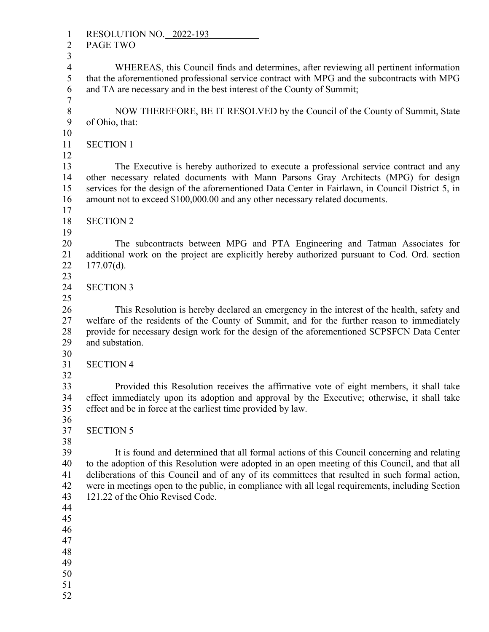1 RESOLUTION NO. 2022-193<br>2 PAGE TWO PAGE TWO 3 4 WHEREAS, this Council finds and determines, after reviewing all pertinent information 5 that the aforementioned professional service contract with MPG and the subcontracts with MPG 6 and TA are necessary and in the best interest of the County of Summit; 7 8 NOW THEREFORE, BE IT RESOLVED by the Council of the County of Summit, State 9 of Ohio, that: 10 11 SECTION 1 12 13 The Executive is hereby authorized to execute a professional service contract and any 14 other necessary related documents with Mann Parsons Gray Architects (MPG) for design 15 services for the design of the aforementioned Data Center in Fairlawn, in Council District 5, in 16 amount not to exceed \$100,000.00 and any other necessary related documents.  $\frac{17}{18}$ **SECTION 2**  19 20 The subcontracts between MPG and PTA Engineering and Tatman Associates for 21 additional work on the project are explicitly hereby authorized pursuant to Cod. Ord. section 22 177.07(d). 23 24 SECTION 3 25 26 This Resolution is hereby declared an emergency in the interest of the health, safety and 27 welfare of the residents of the County of Summit, and for the further reason to immediately 28 provide for necessary design work for the design of the aforementioned SCPSFCN Data Center 29 and substation. 30 31 SECTION 4 32 33 Provided this Resolution receives the affirmative vote of eight members, it shall take 34 effect immediately upon its adoption and approval by the Executive; otherwise, it shall take<br>35 effect and be in force at the earliest time provided by law. effect and be in force at the earliest time provided by law. 36<br>37 **SECTION 5**  38 39 It is found and determined that all formal actions of this Council concerning and relating 40 to the adoption of this Resolution were adopted in an open meeting of this Council, and that all 41 deliberations of this Council and of any of its committees that resulted in such formal action, 42 were in meetings open to the public, in compliance with all legal requirements, including Section 43 121.22 of the Ohio Revised Code. 44 45 46 47 48 49 50 51 52